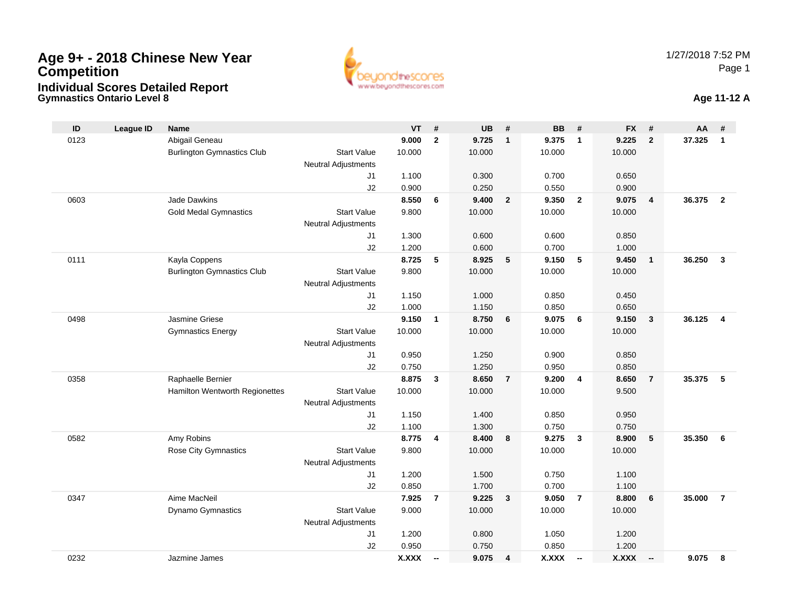

#### **Gymnastics Ontario Level 8 Age 11-12 A**

| ID   | <b>League ID</b> | <b>Name</b>                       |                            | <b>VT</b>       | #                        | <b>UB</b>       | #              | <b>BB</b>       | #                        | <b>FX</b>      | #              | AA     | #              |
|------|------------------|-----------------------------------|----------------------------|-----------------|--------------------------|-----------------|----------------|-----------------|--------------------------|----------------|----------------|--------|----------------|
| 0123 |                  | Abigail Geneau                    |                            | 9.000           | $\overline{2}$           | 9.725           | $\mathbf{1}$   | 9.375           | $\overline{1}$           | 9.225          | $\overline{2}$ | 37.325 | $\mathbf{1}$   |
|      |                  | <b>Burlington Gymnastics Club</b> | <b>Start Value</b>         | 10.000          |                          | 10.000          |                | 10.000          |                          | 10.000         |                |        |                |
|      |                  |                                   | <b>Neutral Adjustments</b> |                 |                          |                 |                |                 |                          |                |                |        |                |
|      |                  |                                   | J1                         | 1.100           |                          | 0.300           |                | 0.700           |                          | 0.650          |                |        |                |
|      |                  |                                   | J <sub>2</sub>             | 0.900           |                          | 0.250           |                | 0.550           |                          | 0.900          |                |        |                |
| 0603 |                  | <b>Jade Dawkins</b>               |                            | 8.550           | 6                        | 9.400           | $\overline{2}$ | 9.350           | $\overline{2}$           | 9.075          | $\overline{4}$ | 36.375 | $\overline{2}$ |
|      |                  | <b>Gold Medal Gymnastics</b>      | <b>Start Value</b>         | 9.800           |                          | 10.000          |                | 10.000          |                          | 10.000         |                |        |                |
|      |                  |                                   | <b>Neutral Adjustments</b> |                 |                          |                 |                |                 |                          |                |                |        |                |
|      |                  |                                   | J1                         | 1.300           |                          | 0.600           |                | 0.600           |                          | 0.850          |                |        |                |
|      |                  |                                   | J2                         | 1.200           |                          | 0.600           |                | 0.700           |                          | 1.000          |                |        |                |
| 0111 |                  | Kayla Coppens                     |                            | 8.725           | 5                        | 8.925           | 5              | 9.150           | 5                        | 9.450          | $\overline{1}$ | 36.250 | $\overline{3}$ |
|      |                  | <b>Burlington Gymnastics Club</b> | <b>Start Value</b>         | 9.800           |                          | 10.000          |                | 10.000          |                          | 10.000         |                |        |                |
|      |                  |                                   | <b>Neutral Adjustments</b> |                 |                          |                 |                |                 |                          |                |                |        |                |
|      |                  |                                   | J1                         | 1.150           |                          | 1.000           |                | 0.850           |                          | 0.450          |                |        |                |
|      |                  | Jasmine Griese                    | J2                         | 1.000           |                          | 1.150           |                | 0.850           | 6                        | 0.650<br>9.150 |                | 36.125 | $\overline{4}$ |
| 0498 |                  |                                   | <b>Start Value</b>         | 9.150<br>10.000 | $\mathbf{1}$             | 8.750<br>10.000 | 6              | 9.075<br>10.000 |                          | 10.000         | $\mathbf{3}$   |        |                |
|      |                  | <b>Gymnastics Energy</b>          | <b>Neutral Adjustments</b> |                 |                          |                 |                |                 |                          |                |                |        |                |
|      |                  |                                   | J1                         | 0.950           |                          | 1.250           |                | 0.900           |                          | 0.850          |                |        |                |
|      |                  |                                   | J2                         | 0.750           |                          | 1.250           |                | 0.950           |                          | 0.850          |                |        |                |
| 0358 |                  | Raphaelle Bernier                 |                            | 8.875           | 3                        | 8.650           | $\overline{7}$ | 9.200           | $\overline{4}$           | 8.650          | $\overline{7}$ | 35.375 | 5              |
|      |                  | Hamilton Wentworth Regionettes    | <b>Start Value</b>         | 10.000          |                          | 10.000          |                | 10.000          |                          | 9.500          |                |        |                |
|      |                  |                                   | Neutral Adjustments        |                 |                          |                 |                |                 |                          |                |                |        |                |
|      |                  |                                   | J1                         | 1.150           |                          | 1.400           |                | 0.850           |                          | 0.950          |                |        |                |
|      |                  |                                   | J2                         | 1.100           |                          | 1.300           |                | 0.750           |                          | 0.750          |                |        |                |
| 0582 |                  | Amy Robins                        |                            | 8.775           | 4                        | 8.400           | 8              | 9.275           | $\mathbf{3}$             | 8.900          | 5              | 35.350 | 6              |
|      |                  | <b>Rose City Gymnastics</b>       | <b>Start Value</b>         | 9.800           |                          | 10.000          |                | 10.000          |                          | 10.000         |                |        |                |
|      |                  |                                   | Neutral Adjustments        |                 |                          |                 |                |                 |                          |                |                |        |                |
|      |                  |                                   | J1                         | 1.200           |                          | 1.500           |                | 0.750           |                          | 1.100          |                |        |                |
|      |                  |                                   | J2                         | 0.850           |                          | 1.700           |                | 0.700           |                          | 1.100          |                |        |                |
| 0347 |                  | Aime MacNeil                      |                            | 7.925           | $\overline{7}$           | 9.225           | 3              | 9.050           | $\overline{7}$           | 8.800          | 6              | 35.000 | $\overline{7}$ |
|      |                  | Dynamo Gymnastics                 | <b>Start Value</b>         | 9.000           |                          | 10.000          |                | 10.000          |                          | 10.000         |                |        |                |
|      |                  |                                   | Neutral Adjustments        |                 |                          |                 |                |                 |                          |                |                |        |                |
|      |                  |                                   | J1                         | 1.200           |                          | 0.800           |                | 1.050           |                          | 1.200          |                |        |                |
|      |                  |                                   | J2                         | 0.950           |                          | 0.750           |                | 0.850           |                          | 1.200          |                |        |                |
| 0232 |                  | Jazmine James                     |                            | <b>X.XXX</b>    | $\overline{\phantom{a}}$ | 9.075           | 4              | <b>X.XXX</b>    | $\overline{\phantom{a}}$ | X.XXX          | $\sim$         | 9.075  | 8              |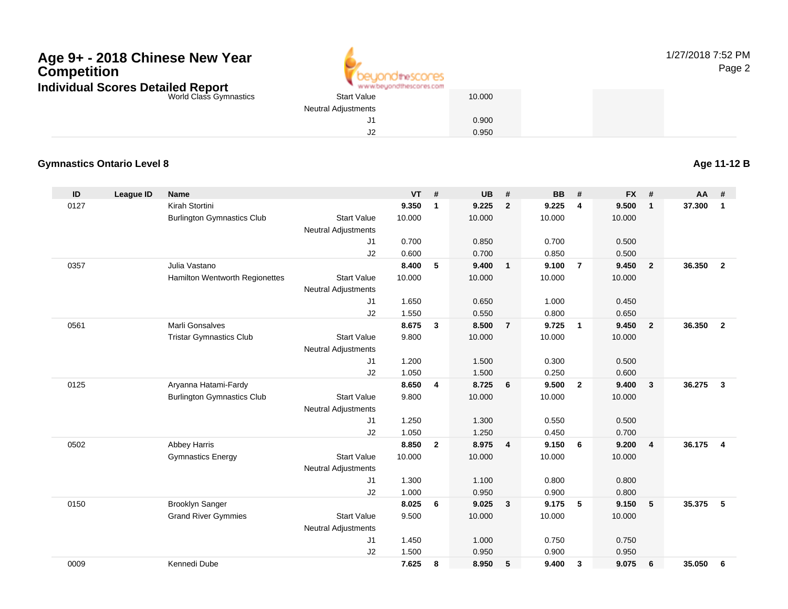

1/27/2018 7:52 PMPage 2

World Class Gymnastics

 Start Value 10.000 Neutral Adjustments J1 0.900 J20.950

#### **Gymnastics Ontario Level 8**

**Age 11-12 B**

| ID   | League ID | <b>Name</b>                       |                            | <b>VT</b> | #                       | <b>UB</b> | #                       | BB     | #              | <b>FX</b> | #              | <b>AA</b> | #                       |
|------|-----------|-----------------------------------|----------------------------|-----------|-------------------------|-----------|-------------------------|--------|----------------|-----------|----------------|-----------|-------------------------|
| 0127 |           | Kirah Stortini                    |                            | 9.350     | $\mathbf{1}$            | 9.225     | $\overline{2}$          | 9.225  | 4              | 9.500     | $\mathbf{1}$   | 37.300    | $\mathbf{1}$            |
|      |           | <b>Burlington Gymnastics Club</b> | <b>Start Value</b>         | 10.000    |                         | 10.000    |                         | 10.000 |                | 10.000    |                |           |                         |
|      |           |                                   | <b>Neutral Adjustments</b> |           |                         |           |                         |        |                |           |                |           |                         |
|      |           |                                   | J1                         | 0.700     |                         | 0.850     |                         | 0.700  |                | 0.500     |                |           |                         |
|      |           |                                   | J2                         | 0.600     |                         | 0.700     |                         | 0.850  |                | 0.500     |                |           |                         |
| 0357 |           | Julia Vastano                     |                            | 8.400     | 5                       | 9.400     | $\overline{1}$          | 9.100  | $\overline{7}$ | 9.450     | $\overline{2}$ | 36.350    | $\overline{2}$          |
|      |           | Hamilton Wentworth Regionettes    | <b>Start Value</b>         | 10.000    |                         | 10.000    |                         | 10.000 |                | 10.000    |                |           |                         |
|      |           |                                   | <b>Neutral Adjustments</b> |           |                         |           |                         |        |                |           |                |           |                         |
|      |           |                                   | J <sub>1</sub>             | 1.650     |                         | 0.650     |                         | 1.000  |                | 0.450     |                |           |                         |
|      |           |                                   | J2                         | 1.550     |                         | 0.550     |                         | 0.800  |                | 0.650     |                |           |                         |
| 0561 |           | <b>Marli Gonsalves</b>            |                            | 8.675     | $\mathbf{3}$            | 8.500     | $\overline{7}$          | 9.725  | $\overline{1}$ | 9.450     | $\overline{2}$ | 36.350    | $\overline{\mathbf{2}}$ |
|      |           | <b>Tristar Gymnastics Club</b>    | <b>Start Value</b>         | 9.800     |                         | 10.000    |                         | 10.000 |                | 10.000    |                |           |                         |
|      |           |                                   | <b>Neutral Adjustments</b> |           |                         |           |                         |        |                |           |                |           |                         |
|      |           |                                   | J1                         | 1.200     |                         | 1.500     |                         | 0.300  |                | 0.500     |                |           |                         |
|      |           |                                   | J2                         | 1.050     |                         | 1.500     |                         | 0.250  |                | 0.600     |                |           |                         |
| 0125 |           | Aryanna Hatami-Fardy              |                            | 8.650     | $\overline{\mathbf{4}}$ | 8.725     | 6                       | 9.500  | $\overline{2}$ | 9.400     | $\mathbf{3}$   | 36.275    | $\mathbf{3}$            |
|      |           | <b>Burlington Gymnastics Club</b> | <b>Start Value</b>         | 9.800     |                         | 10.000    |                         | 10.000 |                | 10.000    |                |           |                         |
|      |           |                                   | <b>Neutral Adjustments</b> |           |                         |           |                         |        |                |           |                |           |                         |
|      |           |                                   | J1                         | 1.250     |                         | 1.300     |                         | 0.550  |                | 0.500     |                |           |                         |
|      |           |                                   | J2                         | 1.050     |                         | 1.250     |                         | 0.450  |                | 0.700     |                |           |                         |
| 0502 |           | <b>Abbey Harris</b>               |                            | 8.850     | $\overline{2}$          | 8.975     | $\overline{4}$          | 9.150  | 6              | 9.200     | $\overline{4}$ | 36.175    | $\overline{4}$          |
|      |           | <b>Gymnastics Energy</b>          | <b>Start Value</b>         | 10.000    |                         | 10.000    |                         | 10.000 |                | 10.000    |                |           |                         |
|      |           |                                   | <b>Neutral Adjustments</b> |           |                         |           |                         |        |                |           |                |           |                         |
|      |           |                                   | J1                         | 1.300     |                         | 1.100     |                         | 0.800  |                | 0.800     |                |           |                         |
|      |           |                                   | J2                         | 1.000     |                         | 0.950     |                         | 0.900  |                | 0.800     |                |           |                         |
| 0150 |           | <b>Brooklyn Sanger</b>            |                            | 8.025     | 6                       | 9.025     | $\overline{\mathbf{3}}$ | 9.175  | 5              | 9.150     | 5              | 35.375    | 5                       |
|      |           | <b>Grand River Gymmies</b>        | <b>Start Value</b>         | 9.500     |                         | 10.000    |                         | 10.000 |                | 10.000    |                |           |                         |
|      |           |                                   | <b>Neutral Adjustments</b> |           |                         |           |                         |        |                |           |                |           |                         |
|      |           |                                   | J1                         | 1.450     |                         | 1.000     |                         | 0.750  |                | 0.750     |                |           |                         |
|      |           |                                   | J2                         | 1.500     |                         | 0.950     |                         | 0.900  |                | 0.950     |                |           |                         |
| 0009 |           | Kennedi Dube                      |                            | 7.625     | 8                       | 8.950     | 5                       | 9.400  | 3              | 9.075     | 6              | 35.050    | 6                       |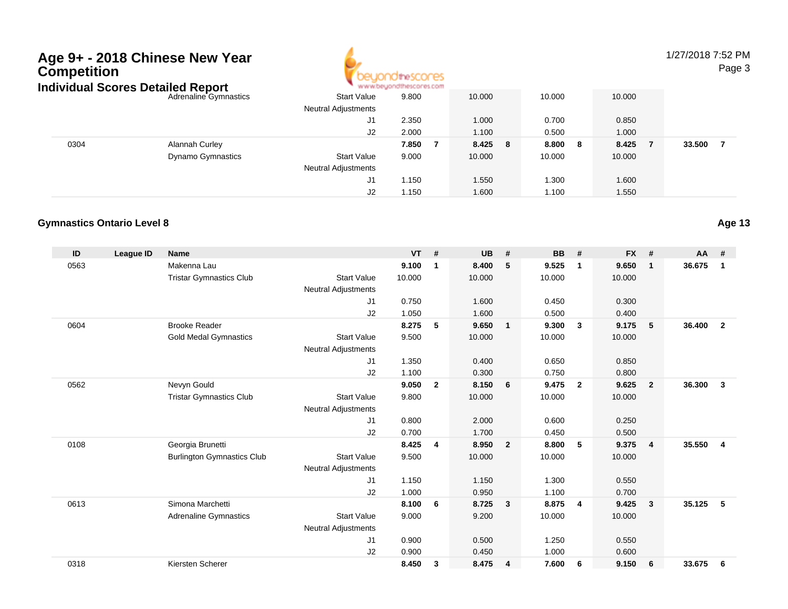

1/27/2018 7:52 PMPage 3

| ndividual Scores Detailed Report |                              | * www.beyondthescores.com  |       |         |            |        |        |  |  |  |
|----------------------------------|------------------------------|----------------------------|-------|---------|------------|--------|--------|--|--|--|
|                                  | <b>Adrenaline Gymnastics</b> | <b>Start Value</b>         | 9.800 | 10.000  | 10.000     | 10.000 |        |  |  |  |
|                                  |                              | <b>Neutral Adjustments</b> |       |         |            |        |        |  |  |  |
|                                  |                              | J1                         | 2.350 | 1.000   | 0.700      | 0.850  |        |  |  |  |
|                                  |                              | J2                         | 2.000 | 1.100   | 0.500      | 1.000  |        |  |  |  |
| 0304                             | <b>Alannah Curley</b>        |                            | 7.850 | 8.425 8 | 8.800<br>8 | 8.425  | 33.500 |  |  |  |
|                                  | <b>Dynamo Gymnastics</b>     | <b>Start Value</b>         | 9.000 | 10.000  | 10.000     | 10.000 |        |  |  |  |
|                                  |                              | <b>Neutral Adjustments</b> |       |         |            |        |        |  |  |  |
|                                  |                              | J1                         | 1.150 | 1.550   | .300       | 1.600  |        |  |  |  |
|                                  |                              | J2                         | 1.150 | 1.600   | 1.100      | 1.550  |        |  |  |  |

#### **Gymnastics Ontario Level 8**

| ID   | <b>League ID</b> | <b>Name</b>                       |                            | <b>VT</b> | #            | <b>UB</b> | #                       | <b>BB</b> | #                       | <b>FX</b> | #              | $AA$ # |                |
|------|------------------|-----------------------------------|----------------------------|-----------|--------------|-----------|-------------------------|-----------|-------------------------|-----------|----------------|--------|----------------|
| 0563 |                  | Makenna Lau                       |                            | 9.100     | 1            | 8.400     | 5                       | 9.525     | $\mathbf{1}$            | 9.650     | $\mathbf{1}$   | 36.675 | $\mathbf{1}$   |
|      |                  | <b>Tristar Gymnastics Club</b>    | <b>Start Value</b>         | 10.000    |              | 10.000    |                         | 10.000    |                         | 10.000    |                |        |                |
|      |                  |                                   | <b>Neutral Adjustments</b> |           |              |           |                         |           |                         |           |                |        |                |
|      |                  |                                   | J1                         | 0.750     |              | 1.600     |                         | 0.450     |                         | 0.300     |                |        |                |
|      |                  |                                   | J2                         | 1.050     |              | 1.600     |                         | 0.500     |                         | 0.400     |                |        |                |
| 0604 |                  | <b>Brooke Reader</b>              |                            | 8.275     | 5            | 9.650     | $\overline{1}$          | 9.300     | $\overline{\mathbf{3}}$ | 9.175     | 5              | 36.400 | $\overline{2}$ |
|      |                  | <b>Gold Medal Gymnastics</b>      | <b>Start Value</b>         | 9.500     |              | 10.000    |                         | 10.000    |                         | 10.000    |                |        |                |
|      |                  |                                   | <b>Neutral Adjustments</b> |           |              |           |                         |           |                         |           |                |        |                |
|      |                  |                                   | J1                         | 1.350     |              | 0.400     |                         | 0.650     |                         | 0.850     |                |        |                |
|      |                  |                                   | J2                         | 1.100     |              | 0.300     |                         | 0.750     |                         | 0.800     |                |        |                |
| 0562 |                  | Nevyn Gould                       |                            | 9.050     | $\mathbf{2}$ | 8.150     | 6                       | 9.475     | $\overline{2}$          | 9.625     | $\overline{2}$ | 36.300 | 3              |
|      |                  | <b>Tristar Gymnastics Club</b>    | <b>Start Value</b>         | 9.800     |              | 10.000    |                         | 10.000    |                         | 10.000    |                |        |                |
|      |                  |                                   | <b>Neutral Adjustments</b> |           |              |           |                         |           |                         |           |                |        |                |
|      |                  |                                   | J1                         | 0.800     |              | 2.000     |                         | 0.600     |                         | 0.250     |                |        |                |
|      |                  |                                   | J2                         | 0.700     |              | 1.700     |                         | 0.450     |                         | 0.500     |                |        |                |
| 0108 |                  | Georgia Brunetti                  |                            | 8.425     | 4            | 8.950     | $\overline{\mathbf{2}}$ | 8.800     | 5                       | 9.375     | $\overline{4}$ | 35.550 | $\overline{4}$ |
|      |                  | <b>Burlington Gymnastics Club</b> | <b>Start Value</b>         | 9.500     |              | 10.000    |                         | 10.000    |                         | 10.000    |                |        |                |
|      |                  |                                   | <b>Neutral Adjustments</b> |           |              |           |                         |           |                         |           |                |        |                |
|      |                  |                                   | J1                         | 1.150     |              | 1.150     |                         | 1.300     |                         | 0.550     |                |        |                |
|      |                  |                                   | J2                         | 1.000     |              | 0.950     |                         | 1.100     |                         | 0.700     |                |        |                |
| 0613 |                  | Simona Marchetti                  |                            | 8.100     | 6            | 8.725     | $\overline{\mathbf{3}}$ | 8.875     | $\overline{4}$          | 9.425     | 3              | 35.125 | 5              |
|      |                  | <b>Adrenaline Gymnastics</b>      | <b>Start Value</b>         | 9.000     |              | 9.200     |                         | 10.000    |                         | 10.000    |                |        |                |
|      |                  |                                   | <b>Neutral Adjustments</b> |           |              |           |                         |           |                         |           |                |        |                |
|      |                  |                                   | J1                         | 0.900     |              | 0.500     |                         | 1.250     |                         | 0.550     |                |        |                |
|      |                  |                                   | J2                         | 0.900     |              | 0.450     |                         | 1.000     |                         | 0.600     |                |        |                |
| 0318 |                  | Kiersten Scherer                  |                            | 8.450     | 3            | 8.475     | $\overline{4}$          | 7.600     | 6                       | 9.150     | 6              | 33.675 | 6              |

**Age 13**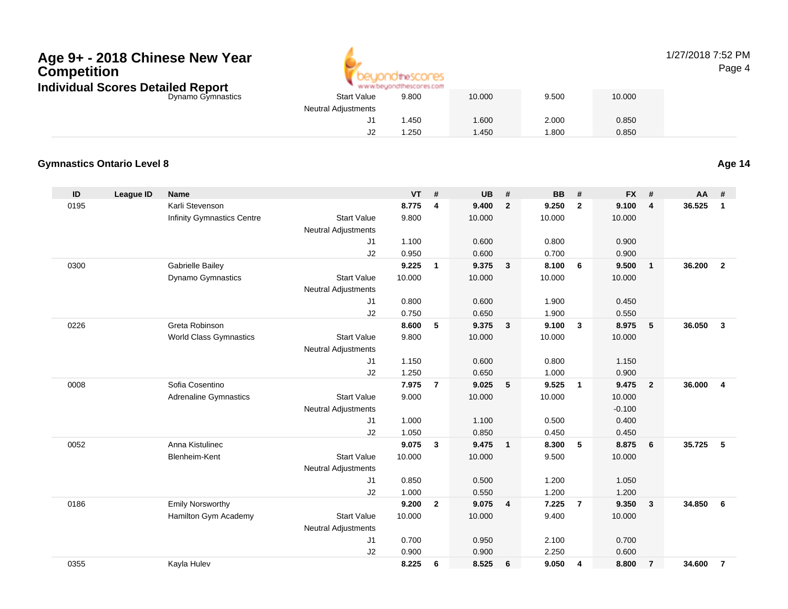

#### 1/27/2018 7:52 PMPage 4

| cores Detailed Report |                            | www.beyondthescores.com |        |       |        |  |
|-----------------------|----------------------------|-------------------------|--------|-------|--------|--|
| Dynamo Gymnastics     | <b>Start Value</b>         | 9.800                   | 10.000 | 9.500 | 10.000 |  |
|                       | <b>Neutral Adjustments</b> |                         |        |       |        |  |
|                       | J1.                        | .450                    | 1.600  | 2.000 | 0.850  |  |
|                       | J <sub>2</sub>             | .250                    | 1.450  | .800  | 0.850  |  |

#### **Gymnastics Ontario Level 8**

**Age 14**

| ID   | League ID | <b>Name</b>                   |                            | <b>VT</b> | #              | <b>UB</b> | #              | <b>BB</b> | #               | <b>FX</b> | #                       | AA     | #              |
|------|-----------|-------------------------------|----------------------------|-----------|----------------|-----------|----------------|-----------|-----------------|-----------|-------------------------|--------|----------------|
| 0195 |           | Karli Stevenson               |                            | 8.775     | 4              | 9.400     | $\overline{2}$ | 9.250     | $\overline{2}$  | 9.100     | $\overline{4}$          | 36.525 | $\mathbf{1}$   |
|      |           | Infinity Gymnastics Centre    | <b>Start Value</b>         | 9.800     |                | 10.000    |                | 10.000    |                 | 10.000    |                         |        |                |
|      |           |                               | <b>Neutral Adjustments</b> |           |                |           |                |           |                 |           |                         |        |                |
|      |           |                               | J1                         | 1.100     |                | 0.600     |                | 0.800     |                 | 0.900     |                         |        |                |
|      |           |                               | J2                         | 0.950     |                | 0.600     |                | 0.700     |                 | 0.900     |                         |        |                |
| 0300 |           | Gabrielle Bailey              |                            | 9.225     | $\mathbf{1}$   | 9.375     | $\mathbf{3}$   | 8.100     | 6               | 9.500     | $\overline{1}$          | 36.200 | $\overline{2}$ |
|      |           | Dynamo Gymnastics             | <b>Start Value</b>         | 10.000    |                | 10.000    |                | 10.000    |                 | 10.000    |                         |        |                |
|      |           |                               | <b>Neutral Adjustments</b> |           |                |           |                |           |                 |           |                         |        |                |
|      |           |                               | J1                         | 0.800     |                | 0.600     |                | 1.900     |                 | 0.450     |                         |        |                |
|      |           |                               | J2                         | 0.750     |                | 0.650     |                | 1.900     |                 | 0.550     |                         |        |                |
| 0226 |           | Greta Robinson                |                            | 8.600     | 5              | 9.375     | $\overline{3}$ | 9.100     | $\mathbf{3}$    | 8.975     | 5                       | 36.050 | $\overline{3}$ |
|      |           | <b>World Class Gymnastics</b> | <b>Start Value</b>         | 9.800     |                | 10.000    |                | 10.000    |                 | 10.000    |                         |        |                |
|      |           |                               | <b>Neutral Adjustments</b> |           |                |           |                |           |                 |           |                         |        |                |
|      |           |                               | J1                         | 1.150     |                | 0.600     |                | 0.800     |                 | 1.150     |                         |        |                |
|      |           |                               | J2                         | 1.250     |                | 0.650     |                | 1.000     |                 | 0.900     |                         |        |                |
| 0008 |           | Sofia Cosentino               |                            | 7.975     | $\overline{7}$ | 9.025     | 5              | 9.525     | $\overline{1}$  | 9.475     | $\overline{2}$          | 36.000 | $\overline{4}$ |
|      |           | <b>Adrenaline Gymnastics</b>  | <b>Start Value</b>         | 9.000     |                | 10.000    |                | 10.000    |                 | 10.000    |                         |        |                |
|      |           |                               | <b>Neutral Adjustments</b> |           |                |           |                |           |                 | $-0.100$  |                         |        |                |
|      |           |                               | J <sub>1</sub>             | 1.000     |                | 1.100     |                | 0.500     |                 | 0.400     |                         |        |                |
|      |           |                               | J2                         | 1.050     |                | 0.850     |                | 0.450     |                 | 0.450     |                         |        |                |
| 0052 |           | Anna Kistulinec               |                            | 9.075     | 3              | 9.475     | $\mathbf{1}$   | 8.300     | $5\phantom{.0}$ | 8.875     | 6                       | 35.725 | 5              |
|      |           | Blenheim-Kent                 | <b>Start Value</b>         | 10.000    |                | 10.000    |                | 9.500     |                 | 10.000    |                         |        |                |
|      |           |                               | <b>Neutral Adjustments</b> |           |                |           |                |           |                 |           |                         |        |                |
|      |           |                               | J1                         | 0.850     |                | 0.500     |                | 1.200     |                 | 1.050     |                         |        |                |
|      |           |                               | J2                         | 1.000     |                | 0.550     |                | 1.200     |                 | 1.200     |                         |        |                |
| 0186 |           | <b>Emily Norsworthy</b>       |                            | 9.200     | $\overline{2}$ | 9.075     | 4              | 7.225     | $\overline{7}$  | 9.350     | $\overline{\mathbf{3}}$ | 34.850 | 6              |
|      |           | Hamilton Gym Academy          | <b>Start Value</b>         | 10.000    |                | 10.000    |                | 9.400     |                 | 10.000    |                         |        |                |
|      |           |                               | <b>Neutral Adjustments</b> |           |                |           |                |           |                 |           |                         |        |                |
|      |           |                               | J1                         | 0.700     |                | 0.950     |                | 2.100     |                 | 0.700     |                         |        |                |
|      |           |                               | J2                         | 0.900     |                | 0.900     |                | 2.250     |                 | 0.600     |                         |        |                |
| 0355 |           | Kayla Hulev                   |                            | 8.225     | 6              | 8.525     | 6              | 9.050     | 4               | 8.800     | $\overline{7}$          | 34.600 | $\overline{7}$ |
|      |           |                               |                            |           |                |           |                |           |                 |           |                         |        |                |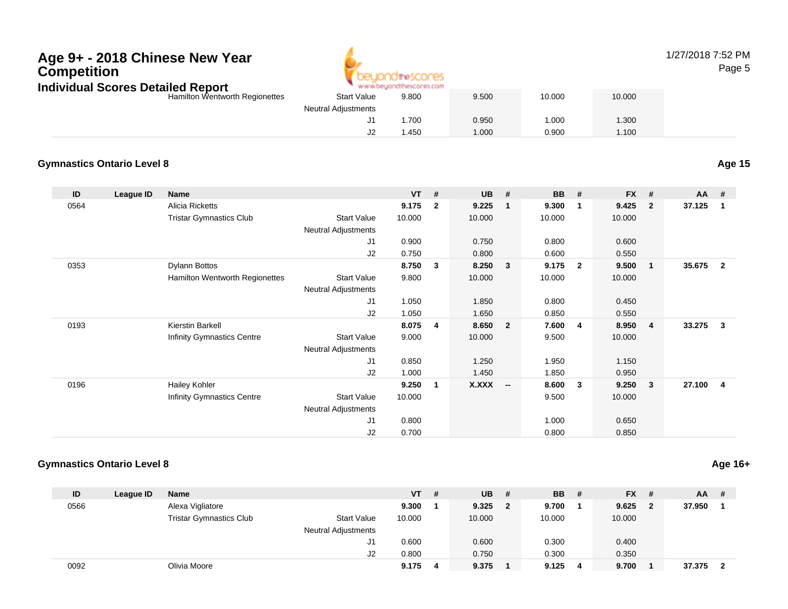### **Age 9+ - 2018 Chinese New YearCompetition**



#### 1/27/2018 7:52 PMPage 5

| Individual Scores Detailed Report |                            | www.beyondthescores.com |       |        |        |
|-----------------------------------|----------------------------|-------------------------|-------|--------|--------|
| Hamilton Wentworth Regionettes    | <b>Start Value</b>         | 9.800                   | 9.500 | 10.000 | 10.000 |
|                                   | <b>Neutral Adjustments</b> |                         |       |        |        |
|                                   |                            | .700                    | 0.950 | 1.000  | .300   |
|                                   | ےں                         | i .450                  | 1.000 | 0.900  | 1.100  |

#### **Gymnastics Ontario Level 8**

**ID League ID Name VT # UB # BB # FX # AA #** 0564 Alicia Ricketts **9.175 <sup>2</sup> 9.225 <sup>1</sup> 9.300 <sup>1</sup> 9.425 <sup>2</sup> 37.125 <sup>1</sup>** Tristar Gymnastics Clubb 3tart Value 10.000 10.000 10.000 10.000 10.000 Neutral Adjustments J1 0.900 0.750 0.800 0.600 J2 0.750 0.800 0.600 0.550 0353 Dylann Bottos **8.750 <sup>3</sup> 8.250 <sup>3</sup> 9.175 <sup>2</sup> 9.500 <sup>1</sup> 35.675 <sup>2</sup>** Hamilton Wentworth Regionettes Start Valuee 9.800 10.000 10.000 10.000 Neutral Adjustments J1 1.050 1.850 0.800 0.450 J2 1.050 1.650 0.850 0.550 0193 Kierstin Barkell **8.075 <sup>4</sup> 8.650 <sup>2</sup> 7.600 <sup>4</sup> 8.950 <sup>4</sup> 33.275 <sup>3</sup>** Infinity Gymnastics Centre Start Value 9.000 10.000 9.500 10.000 Neutral Adjustments J1 0.850 1.250 1.950 1.150 J2 1.000 1.450 1.850 0.950 0196 Hailey Kohler **9.250 <sup>1</sup> X.XXX -- 8.600 <sup>3</sup> 9.250 <sup>3</sup> 27.100 <sup>4</sup>** Infinity Gymnastics Centree 9.500 Start Value 10.000 9.500 9.500 10.000 Neutral Adjustments J1 0.800 1.000 0.650 J20.700 0.800 0.850

#### **Gymnastics Ontario Level 8**

| ID   | League ID | <b>Name</b>                    |                            | VT     | # | <b>UB</b> | #  | <b>BB</b> | # | $FX$ # |              | $AA$ # |                         |
|------|-----------|--------------------------------|----------------------------|--------|---|-----------|----|-----------|---|--------|--------------|--------|-------------------------|
| 0566 |           | Alexa Vigliatore               |                            | 9.300  |   | 9.325     | -2 | 9.700     |   | 9.625  | $\mathbf{2}$ | 37.950 |                         |
|      |           | <b>Tristar Gymnastics Club</b> | <b>Start Value</b>         | 10.000 |   | 10.000    |    | 10.000    |   | 10.000 |              |        |                         |
|      |           |                                | <b>Neutral Adjustments</b> |        |   |           |    |           |   |        |              |        |                         |
|      |           |                                | J1                         | 0.600  |   | 0.600     |    | 0.300     |   | 0.400  |              |        |                         |
|      |           |                                | J2                         | 0.800  |   | 0.750     |    | 0.300     |   | 0.350  |              |        |                         |
| 0092 |           | Olivia Moore                   |                            | 9.175  | 4 | 9.375     |    | 9.125     | 4 | 9.700  |              | 37.375 | $\overline{\mathbf{2}}$ |

**Age 15**

**Age 16+**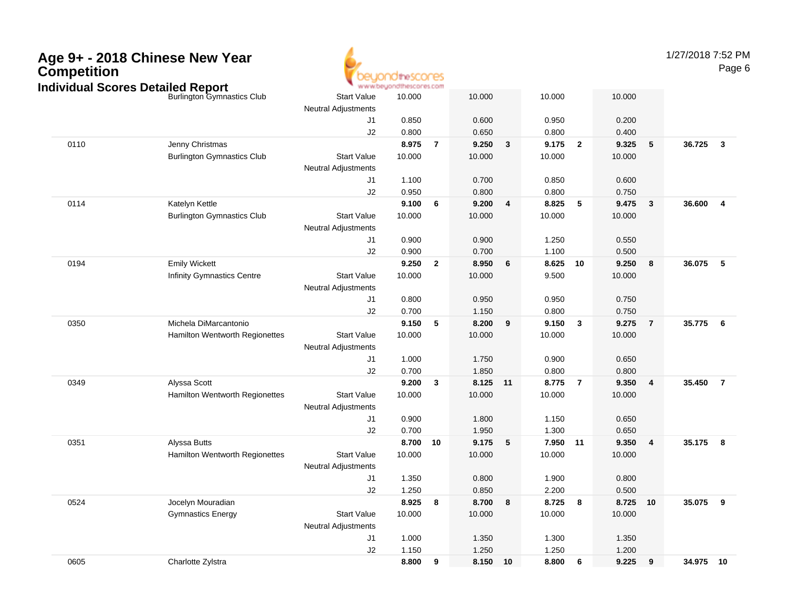

1/27/2018 7:52 PMPage 6

| idividuai Scores Detalled Report<br><b>Burlington Gymnastics Club</b><br><b>Start Value</b><br>10.000<br>10.000<br>10.000<br>10.000<br><b>Neutral Adjustments</b><br>J1<br>0.850<br>0.600<br>0.950<br>0.200<br>0.800<br>0.650<br>0.800<br>0.400<br>J2<br>0110<br>Jenny Christmas<br>8.975<br>9.250<br>9.175<br>$\overline{2}$<br>9.325<br>$5\phantom{.0}$<br>36.725<br>$\overline{7}$<br>$\mathbf{3}$<br>$\mathbf{3}$<br><b>Burlington Gymnastics Club</b><br><b>Start Value</b><br>10.000<br>10.000<br>10.000<br>10.000<br><b>Neutral Adjustments</b><br>0.700<br>0.600<br>J1<br>1.100<br>0.850<br>J2<br>0.950<br>0.800<br>0.800<br>0.750<br>0114<br>Katelyn Kettle<br>9.100<br>9.200<br>8.825<br>5<br>9.475<br>36.600<br>$\overline{4}$<br>6<br>4<br>$\overline{\mathbf{3}}$<br><b>Burlington Gymnastics Club</b><br><b>Start Value</b><br>10.000<br>10.000<br>10.000<br>10.000<br>Neutral Adjustments<br>J1<br>0.900<br>0.900<br>1.250<br>0.550<br>J2<br>0.900<br>0.700<br>1.100<br>0.500<br>0194<br><b>Emily Wickett</b><br>9.250<br>$\overline{2}$<br>8.950<br>8.625<br>9.250<br>36.075<br>5<br>6<br>10<br>8<br>Infinity Gymnastics Centre<br><b>Start Value</b><br>10.000<br>10.000<br>9.500<br>10.000<br><b>Neutral Adjustments</b><br>0.800<br>0.950<br>0.950<br>0.750<br>J1<br>J2<br>0.700<br>0.800<br>1.150<br>0.750<br>Michela DiMarcantonio<br>0350<br>9.150<br>5<br>8.200<br>9.150<br>3<br>9.275<br>$\overline{7}$<br>35.775<br>$6\overline{6}$<br>9<br>Hamilton Wentworth Regionettes<br><b>Start Value</b><br>10.000<br>10.000<br>10.000<br>10.000<br><b>Neutral Adjustments</b><br>1.000<br>1.750<br>0.900<br>0.650<br>J1<br>0.700<br>1.850<br>0.800<br>J2<br>0.800<br>Alyssa Scott<br>35.450<br>0349<br>9.200<br>8.125 11<br>8.775<br>9.350<br>$\overline{\mathbf{4}}$<br>$\overline{7}$<br>3<br>$\overline{7}$<br><b>Start Value</b><br>10.000<br>Hamilton Wentworth Regionettes<br>10.000<br>10.000<br>10.000<br><b>Neutral Adjustments</b><br>J1<br>0.900<br>1.800<br>1.150<br>0.650<br>0.700<br>1.950<br>1.300<br>0.650<br>J2<br>Alyssa Butts<br>9.175<br>35.175 8<br>0351<br>8.700<br>10<br>5<br>7.950 11<br>9.350<br>$\overline{4}$<br>Hamilton Wentworth Regionettes<br>10.000<br>10.000<br>10.000<br><b>Start Value</b><br>10.000<br><b>Neutral Adjustments</b><br>J1<br>1.350<br>0.800<br>1.900<br>0.800<br>J2<br>1.250<br>0.850<br>2.200<br>0.500<br>8.925<br>8.700<br>8.725<br>8.725 10<br>35.075<br>9<br>0524<br>Jocelyn Mouradian<br>8<br>8<br>8<br><b>Gymnastics Energy</b><br><b>Start Value</b><br>10.000<br>10.000<br>10.000<br>10.000<br><b>Neutral Adjustments</b><br>J1<br>1.000<br>1.350<br>1.300<br>1.350<br>J2<br>1.150<br>1.250<br>1.250<br>1.200<br>8.150 10<br>34.975 10 |      |                   | " www.oeyonatuescores.com |   |  |       |   |       |   |  |
|---------------------------------------------------------------------------------------------------------------------------------------------------------------------------------------------------------------------------------------------------------------------------------------------------------------------------------------------------------------------------------------------------------------------------------------------------------------------------------------------------------------------------------------------------------------------------------------------------------------------------------------------------------------------------------------------------------------------------------------------------------------------------------------------------------------------------------------------------------------------------------------------------------------------------------------------------------------------------------------------------------------------------------------------------------------------------------------------------------------------------------------------------------------------------------------------------------------------------------------------------------------------------------------------------------------------------------------------------------------------------------------------------------------------------------------------------------------------------------------------------------------------------------------------------------------------------------------------------------------------------------------------------------------------------------------------------------------------------------------------------------------------------------------------------------------------------------------------------------------------------------------------------------------------------------------------------------------------------------------------------------------------------------------------------------------------------------------------------------------------------------------------------------------------------------------------------------------------------------------------------------------------------------------------------------------------------------------------------------------------------------------------------------------------------------------------------------------------------------------------------------------------------------------------------------------------------------------------------------------------------------------------------------------------------------------------------------------------|------|-------------------|---------------------------|---|--|-------|---|-------|---|--|
|                                                                                                                                                                                                                                                                                                                                                                                                                                                                                                                                                                                                                                                                                                                                                                                                                                                                                                                                                                                                                                                                                                                                                                                                                                                                                                                                                                                                                                                                                                                                                                                                                                                                                                                                                                                                                                                                                                                                                                                                                                                                                                                                                                                                                                                                                                                                                                                                                                                                                                                                                                                                                                                                                                                     |      |                   |                           |   |  |       |   |       |   |  |
|                                                                                                                                                                                                                                                                                                                                                                                                                                                                                                                                                                                                                                                                                                                                                                                                                                                                                                                                                                                                                                                                                                                                                                                                                                                                                                                                                                                                                                                                                                                                                                                                                                                                                                                                                                                                                                                                                                                                                                                                                                                                                                                                                                                                                                                                                                                                                                                                                                                                                                                                                                                                                                                                                                                     |      |                   |                           |   |  |       |   |       |   |  |
|                                                                                                                                                                                                                                                                                                                                                                                                                                                                                                                                                                                                                                                                                                                                                                                                                                                                                                                                                                                                                                                                                                                                                                                                                                                                                                                                                                                                                                                                                                                                                                                                                                                                                                                                                                                                                                                                                                                                                                                                                                                                                                                                                                                                                                                                                                                                                                                                                                                                                                                                                                                                                                                                                                                     |      |                   |                           |   |  |       |   |       |   |  |
|                                                                                                                                                                                                                                                                                                                                                                                                                                                                                                                                                                                                                                                                                                                                                                                                                                                                                                                                                                                                                                                                                                                                                                                                                                                                                                                                                                                                                                                                                                                                                                                                                                                                                                                                                                                                                                                                                                                                                                                                                                                                                                                                                                                                                                                                                                                                                                                                                                                                                                                                                                                                                                                                                                                     |      |                   |                           |   |  |       |   |       |   |  |
|                                                                                                                                                                                                                                                                                                                                                                                                                                                                                                                                                                                                                                                                                                                                                                                                                                                                                                                                                                                                                                                                                                                                                                                                                                                                                                                                                                                                                                                                                                                                                                                                                                                                                                                                                                                                                                                                                                                                                                                                                                                                                                                                                                                                                                                                                                                                                                                                                                                                                                                                                                                                                                                                                                                     |      |                   |                           |   |  |       |   |       |   |  |
|                                                                                                                                                                                                                                                                                                                                                                                                                                                                                                                                                                                                                                                                                                                                                                                                                                                                                                                                                                                                                                                                                                                                                                                                                                                                                                                                                                                                                                                                                                                                                                                                                                                                                                                                                                                                                                                                                                                                                                                                                                                                                                                                                                                                                                                                                                                                                                                                                                                                                                                                                                                                                                                                                                                     |      |                   |                           |   |  |       |   |       |   |  |
|                                                                                                                                                                                                                                                                                                                                                                                                                                                                                                                                                                                                                                                                                                                                                                                                                                                                                                                                                                                                                                                                                                                                                                                                                                                                                                                                                                                                                                                                                                                                                                                                                                                                                                                                                                                                                                                                                                                                                                                                                                                                                                                                                                                                                                                                                                                                                                                                                                                                                                                                                                                                                                                                                                                     |      |                   |                           |   |  |       |   |       |   |  |
|                                                                                                                                                                                                                                                                                                                                                                                                                                                                                                                                                                                                                                                                                                                                                                                                                                                                                                                                                                                                                                                                                                                                                                                                                                                                                                                                                                                                                                                                                                                                                                                                                                                                                                                                                                                                                                                                                                                                                                                                                                                                                                                                                                                                                                                                                                                                                                                                                                                                                                                                                                                                                                                                                                                     |      |                   |                           |   |  |       |   |       |   |  |
|                                                                                                                                                                                                                                                                                                                                                                                                                                                                                                                                                                                                                                                                                                                                                                                                                                                                                                                                                                                                                                                                                                                                                                                                                                                                                                                                                                                                                                                                                                                                                                                                                                                                                                                                                                                                                                                                                                                                                                                                                                                                                                                                                                                                                                                                                                                                                                                                                                                                                                                                                                                                                                                                                                                     |      |                   |                           |   |  |       |   |       |   |  |
|                                                                                                                                                                                                                                                                                                                                                                                                                                                                                                                                                                                                                                                                                                                                                                                                                                                                                                                                                                                                                                                                                                                                                                                                                                                                                                                                                                                                                                                                                                                                                                                                                                                                                                                                                                                                                                                                                                                                                                                                                                                                                                                                                                                                                                                                                                                                                                                                                                                                                                                                                                                                                                                                                                                     |      |                   |                           |   |  |       |   |       |   |  |
|                                                                                                                                                                                                                                                                                                                                                                                                                                                                                                                                                                                                                                                                                                                                                                                                                                                                                                                                                                                                                                                                                                                                                                                                                                                                                                                                                                                                                                                                                                                                                                                                                                                                                                                                                                                                                                                                                                                                                                                                                                                                                                                                                                                                                                                                                                                                                                                                                                                                                                                                                                                                                                                                                                                     |      |                   |                           |   |  |       |   |       |   |  |
|                                                                                                                                                                                                                                                                                                                                                                                                                                                                                                                                                                                                                                                                                                                                                                                                                                                                                                                                                                                                                                                                                                                                                                                                                                                                                                                                                                                                                                                                                                                                                                                                                                                                                                                                                                                                                                                                                                                                                                                                                                                                                                                                                                                                                                                                                                                                                                                                                                                                                                                                                                                                                                                                                                                     |      |                   |                           |   |  |       |   |       |   |  |
|                                                                                                                                                                                                                                                                                                                                                                                                                                                                                                                                                                                                                                                                                                                                                                                                                                                                                                                                                                                                                                                                                                                                                                                                                                                                                                                                                                                                                                                                                                                                                                                                                                                                                                                                                                                                                                                                                                                                                                                                                                                                                                                                                                                                                                                                                                                                                                                                                                                                                                                                                                                                                                                                                                                     |      |                   |                           |   |  |       |   |       |   |  |
|                                                                                                                                                                                                                                                                                                                                                                                                                                                                                                                                                                                                                                                                                                                                                                                                                                                                                                                                                                                                                                                                                                                                                                                                                                                                                                                                                                                                                                                                                                                                                                                                                                                                                                                                                                                                                                                                                                                                                                                                                                                                                                                                                                                                                                                                                                                                                                                                                                                                                                                                                                                                                                                                                                                     |      |                   |                           |   |  |       |   |       |   |  |
|                                                                                                                                                                                                                                                                                                                                                                                                                                                                                                                                                                                                                                                                                                                                                                                                                                                                                                                                                                                                                                                                                                                                                                                                                                                                                                                                                                                                                                                                                                                                                                                                                                                                                                                                                                                                                                                                                                                                                                                                                                                                                                                                                                                                                                                                                                                                                                                                                                                                                                                                                                                                                                                                                                                     |      |                   |                           |   |  |       |   |       |   |  |
|                                                                                                                                                                                                                                                                                                                                                                                                                                                                                                                                                                                                                                                                                                                                                                                                                                                                                                                                                                                                                                                                                                                                                                                                                                                                                                                                                                                                                                                                                                                                                                                                                                                                                                                                                                                                                                                                                                                                                                                                                                                                                                                                                                                                                                                                                                                                                                                                                                                                                                                                                                                                                                                                                                                     |      |                   |                           |   |  |       |   |       |   |  |
|                                                                                                                                                                                                                                                                                                                                                                                                                                                                                                                                                                                                                                                                                                                                                                                                                                                                                                                                                                                                                                                                                                                                                                                                                                                                                                                                                                                                                                                                                                                                                                                                                                                                                                                                                                                                                                                                                                                                                                                                                                                                                                                                                                                                                                                                                                                                                                                                                                                                                                                                                                                                                                                                                                                     |      |                   |                           |   |  |       |   |       |   |  |
|                                                                                                                                                                                                                                                                                                                                                                                                                                                                                                                                                                                                                                                                                                                                                                                                                                                                                                                                                                                                                                                                                                                                                                                                                                                                                                                                                                                                                                                                                                                                                                                                                                                                                                                                                                                                                                                                                                                                                                                                                                                                                                                                                                                                                                                                                                                                                                                                                                                                                                                                                                                                                                                                                                                     |      |                   |                           |   |  |       |   |       |   |  |
|                                                                                                                                                                                                                                                                                                                                                                                                                                                                                                                                                                                                                                                                                                                                                                                                                                                                                                                                                                                                                                                                                                                                                                                                                                                                                                                                                                                                                                                                                                                                                                                                                                                                                                                                                                                                                                                                                                                                                                                                                                                                                                                                                                                                                                                                                                                                                                                                                                                                                                                                                                                                                                                                                                                     |      |                   |                           |   |  |       |   |       |   |  |
|                                                                                                                                                                                                                                                                                                                                                                                                                                                                                                                                                                                                                                                                                                                                                                                                                                                                                                                                                                                                                                                                                                                                                                                                                                                                                                                                                                                                                                                                                                                                                                                                                                                                                                                                                                                                                                                                                                                                                                                                                                                                                                                                                                                                                                                                                                                                                                                                                                                                                                                                                                                                                                                                                                                     |      |                   |                           |   |  |       |   |       |   |  |
|                                                                                                                                                                                                                                                                                                                                                                                                                                                                                                                                                                                                                                                                                                                                                                                                                                                                                                                                                                                                                                                                                                                                                                                                                                                                                                                                                                                                                                                                                                                                                                                                                                                                                                                                                                                                                                                                                                                                                                                                                                                                                                                                                                                                                                                                                                                                                                                                                                                                                                                                                                                                                                                                                                                     |      |                   |                           |   |  |       |   |       |   |  |
|                                                                                                                                                                                                                                                                                                                                                                                                                                                                                                                                                                                                                                                                                                                                                                                                                                                                                                                                                                                                                                                                                                                                                                                                                                                                                                                                                                                                                                                                                                                                                                                                                                                                                                                                                                                                                                                                                                                                                                                                                                                                                                                                                                                                                                                                                                                                                                                                                                                                                                                                                                                                                                                                                                                     |      |                   |                           |   |  |       |   |       |   |  |
|                                                                                                                                                                                                                                                                                                                                                                                                                                                                                                                                                                                                                                                                                                                                                                                                                                                                                                                                                                                                                                                                                                                                                                                                                                                                                                                                                                                                                                                                                                                                                                                                                                                                                                                                                                                                                                                                                                                                                                                                                                                                                                                                                                                                                                                                                                                                                                                                                                                                                                                                                                                                                                                                                                                     |      |                   |                           |   |  |       |   |       |   |  |
|                                                                                                                                                                                                                                                                                                                                                                                                                                                                                                                                                                                                                                                                                                                                                                                                                                                                                                                                                                                                                                                                                                                                                                                                                                                                                                                                                                                                                                                                                                                                                                                                                                                                                                                                                                                                                                                                                                                                                                                                                                                                                                                                                                                                                                                                                                                                                                                                                                                                                                                                                                                                                                                                                                                     |      |                   |                           |   |  |       |   |       |   |  |
|                                                                                                                                                                                                                                                                                                                                                                                                                                                                                                                                                                                                                                                                                                                                                                                                                                                                                                                                                                                                                                                                                                                                                                                                                                                                                                                                                                                                                                                                                                                                                                                                                                                                                                                                                                                                                                                                                                                                                                                                                                                                                                                                                                                                                                                                                                                                                                                                                                                                                                                                                                                                                                                                                                                     |      |                   |                           |   |  |       |   |       |   |  |
|                                                                                                                                                                                                                                                                                                                                                                                                                                                                                                                                                                                                                                                                                                                                                                                                                                                                                                                                                                                                                                                                                                                                                                                                                                                                                                                                                                                                                                                                                                                                                                                                                                                                                                                                                                                                                                                                                                                                                                                                                                                                                                                                                                                                                                                                                                                                                                                                                                                                                                                                                                                                                                                                                                                     |      |                   |                           |   |  |       |   |       |   |  |
|                                                                                                                                                                                                                                                                                                                                                                                                                                                                                                                                                                                                                                                                                                                                                                                                                                                                                                                                                                                                                                                                                                                                                                                                                                                                                                                                                                                                                                                                                                                                                                                                                                                                                                                                                                                                                                                                                                                                                                                                                                                                                                                                                                                                                                                                                                                                                                                                                                                                                                                                                                                                                                                                                                                     |      |                   |                           |   |  |       |   |       |   |  |
|                                                                                                                                                                                                                                                                                                                                                                                                                                                                                                                                                                                                                                                                                                                                                                                                                                                                                                                                                                                                                                                                                                                                                                                                                                                                                                                                                                                                                                                                                                                                                                                                                                                                                                                                                                                                                                                                                                                                                                                                                                                                                                                                                                                                                                                                                                                                                                                                                                                                                                                                                                                                                                                                                                                     |      |                   |                           |   |  |       |   |       |   |  |
|                                                                                                                                                                                                                                                                                                                                                                                                                                                                                                                                                                                                                                                                                                                                                                                                                                                                                                                                                                                                                                                                                                                                                                                                                                                                                                                                                                                                                                                                                                                                                                                                                                                                                                                                                                                                                                                                                                                                                                                                                                                                                                                                                                                                                                                                                                                                                                                                                                                                                                                                                                                                                                                                                                                     |      |                   |                           |   |  |       |   |       |   |  |
|                                                                                                                                                                                                                                                                                                                                                                                                                                                                                                                                                                                                                                                                                                                                                                                                                                                                                                                                                                                                                                                                                                                                                                                                                                                                                                                                                                                                                                                                                                                                                                                                                                                                                                                                                                                                                                                                                                                                                                                                                                                                                                                                                                                                                                                                                                                                                                                                                                                                                                                                                                                                                                                                                                                     |      |                   |                           |   |  |       |   |       |   |  |
|                                                                                                                                                                                                                                                                                                                                                                                                                                                                                                                                                                                                                                                                                                                                                                                                                                                                                                                                                                                                                                                                                                                                                                                                                                                                                                                                                                                                                                                                                                                                                                                                                                                                                                                                                                                                                                                                                                                                                                                                                                                                                                                                                                                                                                                                                                                                                                                                                                                                                                                                                                                                                                                                                                                     |      |                   |                           |   |  |       |   |       |   |  |
|                                                                                                                                                                                                                                                                                                                                                                                                                                                                                                                                                                                                                                                                                                                                                                                                                                                                                                                                                                                                                                                                                                                                                                                                                                                                                                                                                                                                                                                                                                                                                                                                                                                                                                                                                                                                                                                                                                                                                                                                                                                                                                                                                                                                                                                                                                                                                                                                                                                                                                                                                                                                                                                                                                                     |      |                   |                           |   |  |       |   |       |   |  |
|                                                                                                                                                                                                                                                                                                                                                                                                                                                                                                                                                                                                                                                                                                                                                                                                                                                                                                                                                                                                                                                                                                                                                                                                                                                                                                                                                                                                                                                                                                                                                                                                                                                                                                                                                                                                                                                                                                                                                                                                                                                                                                                                                                                                                                                                                                                                                                                                                                                                                                                                                                                                                                                                                                                     |      |                   |                           |   |  |       |   |       |   |  |
|                                                                                                                                                                                                                                                                                                                                                                                                                                                                                                                                                                                                                                                                                                                                                                                                                                                                                                                                                                                                                                                                                                                                                                                                                                                                                                                                                                                                                                                                                                                                                                                                                                                                                                                                                                                                                                                                                                                                                                                                                                                                                                                                                                                                                                                                                                                                                                                                                                                                                                                                                                                                                                                                                                                     |      |                   |                           |   |  |       |   |       |   |  |
|                                                                                                                                                                                                                                                                                                                                                                                                                                                                                                                                                                                                                                                                                                                                                                                                                                                                                                                                                                                                                                                                                                                                                                                                                                                                                                                                                                                                                                                                                                                                                                                                                                                                                                                                                                                                                                                                                                                                                                                                                                                                                                                                                                                                                                                                                                                                                                                                                                                                                                                                                                                                                                                                                                                     |      |                   |                           |   |  |       |   |       |   |  |
|                                                                                                                                                                                                                                                                                                                                                                                                                                                                                                                                                                                                                                                                                                                                                                                                                                                                                                                                                                                                                                                                                                                                                                                                                                                                                                                                                                                                                                                                                                                                                                                                                                                                                                                                                                                                                                                                                                                                                                                                                                                                                                                                                                                                                                                                                                                                                                                                                                                                                                                                                                                                                                                                                                                     |      |                   |                           |   |  |       |   |       |   |  |
|                                                                                                                                                                                                                                                                                                                                                                                                                                                                                                                                                                                                                                                                                                                                                                                                                                                                                                                                                                                                                                                                                                                                                                                                                                                                                                                                                                                                                                                                                                                                                                                                                                                                                                                                                                                                                                                                                                                                                                                                                                                                                                                                                                                                                                                                                                                                                                                                                                                                                                                                                                                                                                                                                                                     |      |                   |                           |   |  |       |   |       |   |  |
|                                                                                                                                                                                                                                                                                                                                                                                                                                                                                                                                                                                                                                                                                                                                                                                                                                                                                                                                                                                                                                                                                                                                                                                                                                                                                                                                                                                                                                                                                                                                                                                                                                                                                                                                                                                                                                                                                                                                                                                                                                                                                                                                                                                                                                                                                                                                                                                                                                                                                                                                                                                                                                                                                                                     | 0605 | Charlotte Zylstra | 8.800                     | 9 |  | 8.800 | 6 | 9.225 | 9 |  |